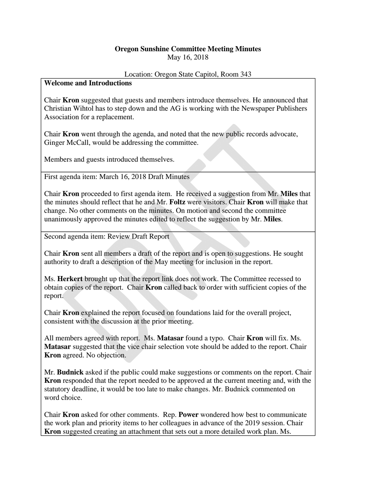## **Oregon Sunshine Committee Meeting Minutes**  May 16, 2018

## Location: Oregon State Capitol, Room 343

## **Welcome and Introductions**

Chair **Kron** suggested that guests and members introduce themselves. He announced that Christian Wihtol has to step down and the AG is working with the Newspaper Publishers Association for a replacement.

Chair **Kron** went through the agenda, and noted that the new public records advocate, Ginger McCall, would be addressing the committee.

Members and guests introduced themselves.

First agenda item: March 16, 2018 Draft Minutes

Chair **Kron** proceeded to first agenda item. He received a suggestion from Mr. **Miles** that the minutes should reflect that he and Mr. **Foltz** were visitors. Chair **Kron** will make that change. No other comments on the minutes. On motion and second the committee unanimously approved the minutes edited to reflect the suggestion by Mr. **Miles**.

Second agenda item: Review Draft Report

Chair **Kron** sent all members a draft of the report and is open to suggestions. He sought authority to draft a description of the May meeting for inclusion in the report.

Ms. **Herkert** brought up that the report link does not work. The Committee recessed to obtain copies of the report. Chair **Kron** called back to order with sufficient copies of the report.

Chair **Kron** explained the report focused on foundations laid for the overall project, consistent with the discussion at the prior meeting.

All members agreed with report. Ms. **Matasar** found a typo. Chair **Kron** will fix. Ms. **Matasar** suggested that the vice chair selection vote should be added to the report. Chair **Kron** agreed. No objection.

Mr. **Budnick** asked if the public could make suggestions or comments on the report. Chair **Kron** responded that the report needed to be approved at the current meeting and, with the statutory deadline, it would be too late to make changes. Mr. Budnick commented on word choice.

Chair **Kron** asked for other comments. Rep. **Power** wondered how best to communicate the work plan and priority items to her colleagues in advance of the 2019 session. Chair **Kron** suggested creating an attachment that sets out a more detailed work plan. Ms.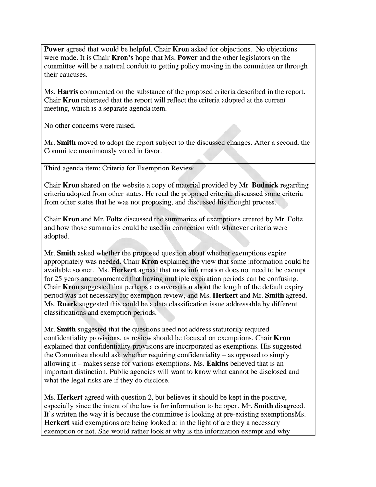**Power** agreed that would be helpful. Chair **Kron** asked for objections. No objections were made. It is Chair **Kron's** hope that Ms. **Power** and the other legislators on the committee will be a natural conduit to getting policy moving in the committee or through their caucuses.

Ms. **Harris** commented on the substance of the proposed criteria described in the report. Chair **Kron** reiterated that the report will reflect the criteria adopted at the current meeting, which is a separate agenda item.

No other concerns were raised.

Mr. **Smith** moved to adopt the report subject to the discussed changes. After a second, the Committee unanimously voted in favor.

Third agenda item: Criteria for Exemption Review

Chair **Kron** shared on the website a copy of material provided by Mr. **Budnick** regarding criteria adopted from other states. He read the proposed criteria, discussed some criteria from other states that he was not proposing, and discussed his thought process.

Chair **Kron** and Mr. **Foltz** discussed the summaries of exemptions created by Mr. Foltz and how those summaries could be used in connection with whatever criteria were adopted.

Mr. **Smith** asked whether the proposed question about whether exemptions expire appropriately was needed. Chair **Kron** explained the view that some information could be available sooner. Ms. **Herkert** agreed that most information does not need to be exempt for 25 years and commented that having multiple expiration periods can be confusing. Chair **Kron** suggested that perhaps a conversation about the length of the default expiry period was not necessary for exemption review, and Ms. **Herkert** and Mr. **Smith** agreed. Ms. **Roark** suggested this could be a data classification issue addressable by different classifications and exemption periods.

Mr. **Smith** suggested that the questions need not address statutorily required confidentiality provisions, as review should be focused on exemptions. Chair **Kron** explained that confidentiality provisions are incorporated as exemptions. His suggested the Committee should ask whether requiring confidentiality – as opposed to simply allowing it – makes sense for various exemptions. Ms. **Eakins** believed that is an important distinction. Public agencies will want to know what cannot be disclosed and what the legal risks are if they do disclose.

Ms. **Herkert** agreed with question 2, but believes it should be kept in the positive, especially since the intent of the law is for information to be open. Mr. **Smith** disagreed. It's written the way it is because the committee is looking at pre-existing exemptionsMs. **Herkert** said exemptions are being looked at in the light of are they a necessary exemption or not. She would rather look at why is the information exempt and why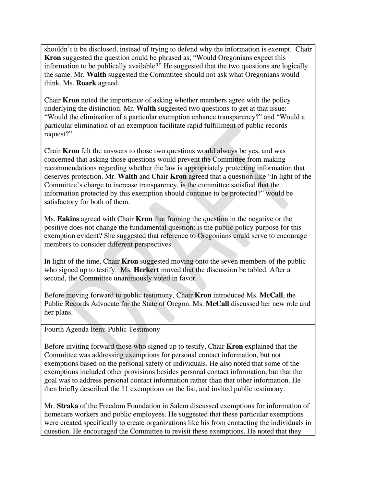shouldn't it be disclosed, instead of trying to defend why the information is exempt. Chair **Kron** suggested the question could be phrased as, "Would Oregonians expect this information to be publically available?" He suggested that the two questions are logically the same. Mr. **Walth** suggested the Commtitee should not ask what Oregonians would think. Ms. **Roark** agreed.

Chair **Kron** noted the importance of asking whether members agree with the policy underlying the distinction. Mr. **Walth** suggested two questions to get at that issue: "Would the elimination of a particular exemption enhance transparency?" and "Would a particular elimination of an exemption facilitate rapid fulfillment of public records request?"

Chair **Kron** felt the answers to those two questions would always be yes, and was concerned that asking those questions would prevent the Committee from making recommendations regarding whether the law is appropriately protecting information that deserves protection. Mr. **Walth** and Chair **Kron** agreed that a question like "In light of the Committee's charge to increase transparency, is the committee satisfied that the information protected by this exemption should continue to be protected?" would be satisfactory for both of them.

Ms. **Eakins** agreed with Chair **Kron** that framing the question in the negative or the positive does not change the fundamental question: is the public policy purpose for this exemption evident? She suggested that reference to Oregonians could serve to encourage members to consider different perspectives.

In light of the time, Chair **Kron** suggested moving onto the seven members of the public who signed up to testify. Ms. **Herkert** moved that the discussion be tabled. After a second, the Committee unanimously voted in favor.

Before moving forward to public testimony, Chair **Kron** introduced Ms. **McCall**, the Public Records Advocate for the State of Oregon. Ms. **McCall** discussed her new role and her plans.

Fourth Agenda Item: Public Testimony

Before inviting forward those who signed up to testify, Chair **Kron** explained that the Committee was addressing exemptions for personal contact information, but not exemptions based on the personal safety of individuals. He also noted that some of the exemptions included other provisions besides personal contact information, but that the goal was to address personal contact information rather than that other information. He then briefly described the 11 exemptions on the list, and invited public testimony.

Mr. **Straka** of the Freedom Foundation in Salem discussed exemptions for information of homecare workers and public employees. He suggested that these particular exemptions were created specifically to create organizations like his from contacting the individuals in question. He encouraged the Committee to revisit these exemptions. He noted that they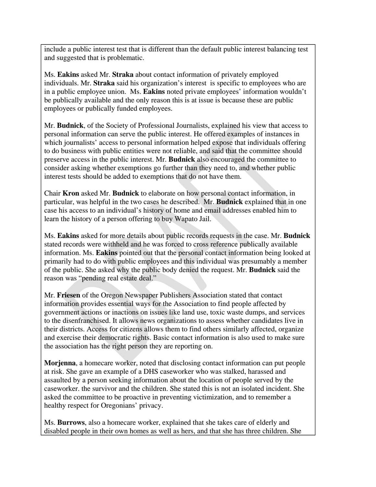include a public interest test that is different than the default public interest balancing test and suggested that is problematic.

Ms. **Eakins** asked Mr. **Straka** about contact information of privately employed individuals. Mr. **Straka** said his organization's interest is specific to employees who are in a public employee union. Ms. **Eakins** noted private employees' information wouldn't be publically available and the only reason this is at issue is because these are public employees or publically funded employees.

Mr. **Budnick**, of the Society of Professional Journalists, explained his view that access to personal information can serve the public interest. He offered examples of instances in which journalists' access to personal information helped expose that individuals offering to do business with public entities were not reliable, and said that the committee should preserve access in the public interest. Mr. **Budnick** also encouraged the committee to consider asking whether exemptions go further than they need to, and whether public interest tests should be added to exemptions that do not have them.

Chair **Kron** asked Mr. **Budnick** to elaborate on how personal contact information, in particular, was helpful in the two cases he described. Mr. **Budnick** explained that in one case his access to an individual's history of home and email addresses enabled him to learn the history of a person offering to buy Wapato Jail.

Ms. **Eakins** asked for more details about public records requests in the case. Mr. **Budnick** stated records were withheld and he was forced to cross reference publically available information. Ms. **Eakins** pointed out that the personal contact information being looked at primarily had to do with public employees and this individual was presumably a member of the public. She asked why the public body denied the request. Mr. **Budnick** said the reason was "pending real estate deal."

Mr. **Friesen** of the Oregon Newspaper Publishers Association stated that contact information provides essential ways for the Association to find people affected by government actions or inactions on issues like land use, toxic waste dumps, and services to the disenfranchised. It allows news organizations to assess whether candidates live in their districts. Access for citizens allows them to find others similarly affected, organize and exercise their democratic rights. Basic contact information is also used to make sure the association has the right person they are reporting on.

**Morjenna**, a homecare worker, noted that disclosing contact information can put people at risk. She gave an example of a DHS caseworker who was stalked, harassed and assaulted by a person seeking information about the location of people served by the caseworker. the survivor and the children. She stated this is not an isolated incident. She asked the committee to be proactive in preventing victimization, and to remember a healthy respect for Oregonians' privacy.

Ms. **Burrows**, also a homecare worker, explained that she takes care of elderly and disabled people in their own homes as well as hers, and that she has three children. She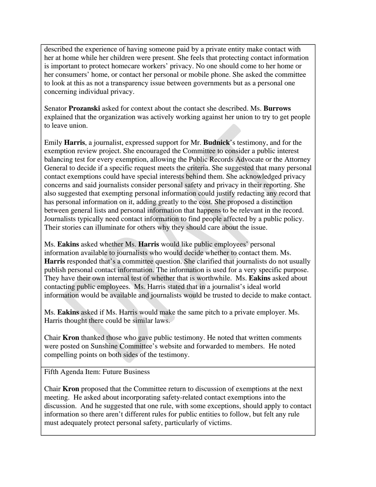described the experience of having someone paid by a private entity make contact with her at home while her children were present. She feels that protecting contact information is important to protect homecare workers' privacy. No one should come to her home or her consumers' home, or contact her personal or mobile phone. She asked the committee to look at this as not a transparency issue between governments but as a personal one concerning individual privacy.

Senator **Prozanski** asked for context about the contact she described. Ms. **Burrows** explained that the organization was actively working against her union to try to get people to leave union.

Emily **Harris**, a journalist, expressed support for Mr. **Budnick**'s testimony, and for the exemption review project. She encouraged the Committee to consider a public interest balancing test for every exemption, allowing the Public Records Advocate or the Attorney General to decide if a specific request meets the criteria. She suggested that many personal contact exemptions could have special interests behind them. She acknowledged privacy concerns and said journalists consider personal safety and privacy in their reporting. She also suggested that exempting personal information could justify redacting any record that has personal information on it, adding greatly to the cost. She proposed a distinction between general lists and personal information that happens to be relevant in the record. Journalists typically need contact information to find people affected by a public policy. Their stories can illuminate for others why they should care about the issue.

Ms. **Eakins** asked whether Ms. **Harris** would like public employees' personal information available to journalists who would decide whether to contact them. Ms. **Harris** responded that's a committee question. She clarified that journalists do not usually publish personal contact information. The information is used for a very specific purpose. They have their own internal test of whether that is worthwhile. Ms. **Eakins** asked about contacting public employees. Ms. Harris stated that in a journalist's ideal world information would be available and journalists would be trusted to decide to make contact.

Ms. **Eakins** asked if Ms. Harris would make the same pitch to a private employer. Ms. Harris thought there could be similar laws.

Chair **Kron** thanked those who gave public testimony. He noted that written comments were posted on Sunshine Committee's website and forwarded to members. He noted compelling points on both sides of the testimony.

Fifth Agenda Item: Future Business

Chair **Kron** proposed that the Committee return to discussion of exemptions at the next meeting. He asked about incorporating safety-related contact exemptions into the discussion. And he suggested that one rule, with some exceptions, should apply to contact information so there aren't different rules for public entities to follow, but felt any rule must adequately protect personal safety, particularly of victims.